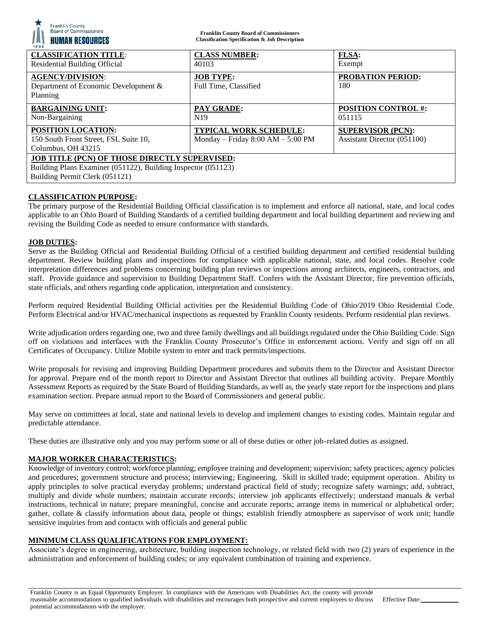| <b>Board of Commissioners</b><br><b>HUMAN RESOURCES</b><br>1803                                                                                  | <b>Franklin County Board of Commissioners</b><br><b>Classification Specification &amp; Job Description</b> |                                                         |
|--------------------------------------------------------------------------------------------------------------------------------------------------|------------------------------------------------------------------------------------------------------------|---------------------------------------------------------|
| <b>CLASSIFICATION TITLE:</b><br><b>Residential Building Official</b>                                                                             | <b>CLASS NUMBER:</b><br>40103                                                                              | <b>FLSA:</b><br>Exempt                                  |
| <b>AGENCY/DIVISION:</b><br>Department of Economic Development &<br>Planning                                                                      | <b>JOB TYPE:</b><br>Full Time, Classified                                                                  | <b>PROBATION PERIOD:</b><br>180                         |
| <b>BARGAINING UNIT:</b><br>Non-Bargaining                                                                                                        | <b>PAY GRADE:</b><br>N <sub>19</sub>                                                                       | <b>POSITION CONTROL #:</b><br>051115                    |
| <b>POSITION LOCATION:</b><br>150 South Front Street, FSL Suite 10,<br>Columbus, OH 43215                                                         | <b>TYPICAL WORK SCHEDULE:</b><br>Monday – Friday $8:00$ AM – $5:00$ PM                                     | <b>SUPERVISOR (PCN):</b><br>Assistant Director (051100) |
| JOB TITLE (PCN) OF THOSE DIRECTLY SUPERVISED:<br>Building Plans Examiner (051122), Building Inspector (051123)<br>Building Permit Clerk (051121) |                                                                                                            |                                                         |

# **CLASSIFICATION PURPOSE:**

Franklin County

The primary purpose of the Residential Building Official classification is to implement and enforce all national, state, and local codes applicable to an Ohio Board of Building Standards of a certified building department and local building department and reviewing and revising the Building Code as needed to ensure conformance with standards.

## **JOB DUTIES:**

Serve as the Building Official and Residential Building Official of a certified building department and certified residential building department. Review building plans and inspections for compliance with applicable national, state, and local codes. Resolve code interpretation differences and problems concerning building plan reviews or inspections among architects, engineers, contractors, and staff. Provide guidance and supervision to Building Department Staff. Confers with the Assistant Director, fire prevention officials, state officials, and others regarding code application, interpretation and consistency.

Perform required Residential Building Official activities per the Residential Building Code of Ohio/2019 Ohio Residential Code. Perform Electrical and/or HVAC/mechanical inspections as requested by Franklin County residents. Perform residential plan reviews.

Write adjudication orders regarding one, two and three family dwellings and all buildings regulated under the Ohio Building Code. Sign off on violations and interfaces with the Franklin County Prosecutor's Office in enforcement actions. Verify and sign off on all Certificates of Occupancy. Utilize Mobile system to enter and track permits/inspections.

Write proposals for revising and improving Building Department procedures and submits them to the Director and Assistant Director for approval. Prepare end of the month report to Director and Assistant Director that outlines all building activity. Prepare Monthly Assessment Reports as required by the State Board of Building Standards, as well as, the yearly state report for the inspections and plans examination section. Prepare annual report to the Board of Commissioners and general public.

May serve on committees at local, state and national levels to develop and implement changes to existing codes. Maintain regular and predictable attendance.

These duties are illustrative only and you may perform some or all of these duties or other job-related duties as assigned.

## **MAJOR WORKER CHARACTERISTICS:**

Knowledge of inventory control; workforce planning; employee training and development; supervision; safety practices; agency policies and procedures; government structure and process; interviewing; Engineering. Skill in skilled trade; equipment operation. Ability to apply principles to solve practical everyday problems; understand practical field of study; recognize safety warnings; add, subtract, multiply and divide whole numbers; maintain accurate records; interview job applicants effectively; understand manuals & verbal instructions, technical in nature; prepare meaningful, concise and accurate reports; arrange items in numerical or alphabetical order; gather, collate & classify information about data, people or things; establish friendly atmosphere as supervisor of work unit; handle sensitive inquiries from and contacts with officials and general public

## **MINIMUM CLASS QUALIFICATIONS FOR EMPLOYMENT:**

Associate's degree in engineering, architecture, building inspection technology, or related field with two (2) years of experience in the administration and enforcement of building codes; or any equivalent combination of training and experience.